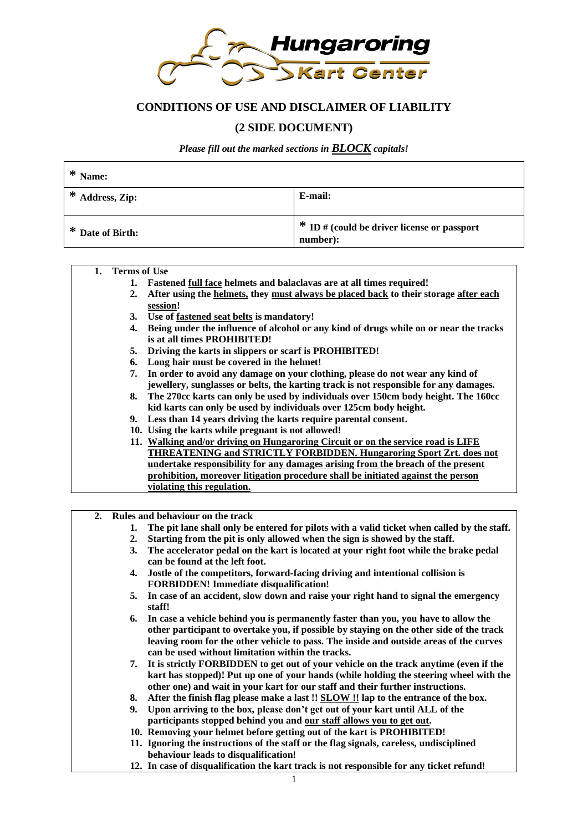

# **CONDITIONS OF USE AND DISCLAIMER OF LIABILITY**

# **(2 SIDE DOCUMENT)**

*Please fill out the marked sections in BLOCK capitals!*

| * Name:          |                                                           |
|------------------|-----------------------------------------------------------|
| * Address, Zip:  | E-mail:                                                   |
| * Date of Birth: | $*$ ID # (could be driver license or passport<br>number): |

#### **1. Terms of Use**

- **1. Fastened full face helmets and balaclavas are at all times required!**
- **2. After using the helmets, they must always be placed back to their storage after each session!**
- **3. Use of fastened seat belts is mandatory!**
- **4. Being under the influence of alcohol or any kind of drugs while on or near the tracks is at all times PROHIBITED!**
- **5. Driving the karts in slippers or scarf is PROHIBITED!**
- **6. Long hair must be covered in the helmet!**
- **7. In order to avoid any damage on your clothing, please do not wear any kind of jewellery, sunglasses or belts, the karting track is not responsible for any damages.**
- **8. The 270cc karts can only be used by individuals over 150cm body height. The 160cc kid karts can only be used by individuals over 125cm body height.**
- **9. Less than 14 years driving the karts require parental consent.**
- **10. Using the karts while pregnant is not allowed!**
- **11. Walking and/or driving on Hungaroring Circuit or on the service road is LIFE THREATENING and STRICTLY FORBIDDEN. Hungaroring Sport Zrt. does not undertake responsibility for any damages arising from the breach of the present prohibition, moreover litigation procedure shall be initiated against the person violating this regulation.**
- **2. Rules and behaviour on the track**
	- **1. The pit lane shall only be entered for pilots with a valid ticket when called by the staff.**
	- **2. Starting from the pit is only allowed when the sign is showed by the staff.**
	- **3. The accelerator pedal on the kart is located at your right foot while the brake pedal can be found at the left foot.**
	- **4. Jostle of the competitors, forward-facing driving and intentional collision is FORBIDDEN! Immediate disqualification!**
	- **5. In case of an accident, slow down and raise your right hand to signal the emergency staff!**
	- **6. In case a vehicle behind you is permanently faster than you, you have to allow the other participant to overtake you, if possible by staying on the other side of the track leaving room for the other vehicle to pass. The inside and outside areas of the curves can be used without limitation within the tracks.**
	- **7. It is strictly FORBIDDEN to get out of your vehicle on the track anytime (even if the kart has stopped)! Put up one of your hands (while holding the steering wheel with the other one) and wait in your kart for our staff and their further instructions.**
	- **8. After the finish flag please make a last !! SLOW !! lap to the entrance of the box.**
	- **9. Upon arriving to the box, please don't get out of your kart until ALL of the participants stopped behind you and our staff allows you to get out.**
	- **10. Removing your helmet before getting out of the kart is PROHIBITED!**
	- **11. Ignoring the instructions of the staff or the flag signals, careless, undisciplined behaviour leads to disqualification!**
	- **12. In case of disqualification the kart track is not responsible for any ticket refund!**